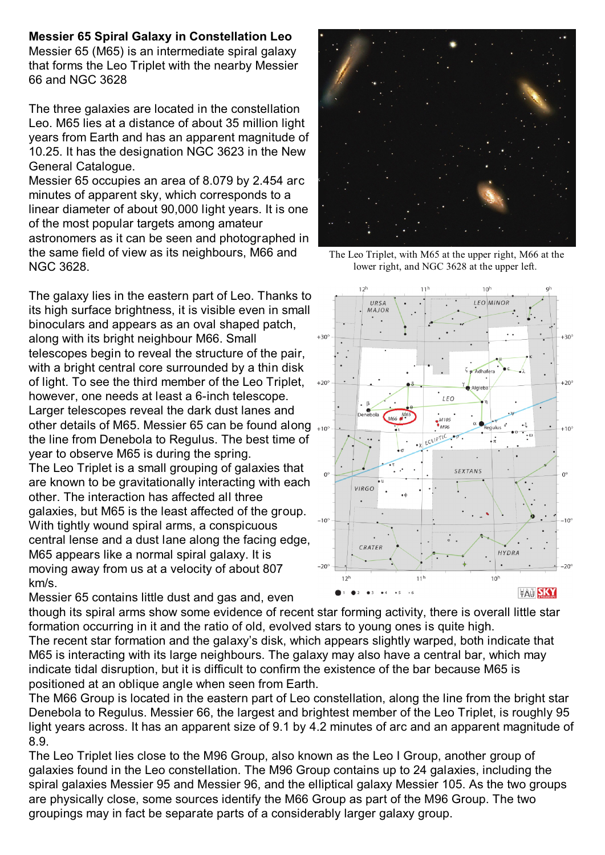## **Messier 65 Spiral Galaxy in Constellation Leo**

Messier 65 (M65) is an intermediate spiral galaxy that forms the Leo Triplet with the nearby Messier 66 and NGC 3628

The three galaxies are located in the constellation Leo. M65 lies at a distance of about 35 million light years from Earth and has an apparent magnitude of 10.25. It has the designation NGC 3623 in the New General Catalogue.

Messier 65 occupies an area of 8.079 by 2.454 arc minutes of apparent sky, which corresponds to a linear diameter of about 90,000 light years. It is one of the most popular targets among amateur astronomers as it can be seen and photographed in the same field of view as its neighbours, M66 and NGC 3628.

The galaxy lies in the eastern part of Leo. Thanks to its high surface brightness, it is visible even in small binoculars and appears as an oval shaped patch, along with its bright neighbour M66. Small telescopes begin to reveal the structure of the pair, with a bright central core surrounded by a thin disk of light. To see the third member of the Leo Triplet, however, one needs at least a 6-inch telescope. Larger telescopes reveal the dark dust lanes and other details of M65. Messier 65 can be found along  $_{+10^{\circ}}$ the line from Denebola to Regulus. The best time of year to observe M65 is during the spring. The Leo Triplet is a small grouping of galaxies that are known to be gravitationally interacting with each other. The interaction has affected all three galaxies, but M65 is the least affected of the group. With tightly wound spiral arms, a conspicuous central lense and a dust lane along the facing edge, M65 appears like a normal spiral galaxy. It is moving away from us at a velocity of about 807 km/s.

Messier 65 contains little dust and gas and, even



The Leo Triplet, with M65 at the upper right, M66 at the lower right, and NGC 3628 at the upper left.



though its spiral arms show some evidence of recent star forming activity, there is overall little star formation occurring in it and the ratio of old, evolved stars to young ones is quite high.

The recent star formation and the galaxy's disk, which appears slightly warped, both indicate that M65 is interacting with its large neighbours. The galaxy may also have a central bar, which may indicate tidal disruption, but it is difficult to confirm the existence of the bar because M65 is positioned at an oblique angle when seen from Earth.

The M66 Group is located in the eastern part of Leo constellation, along the line from the bright star Denebola to Regulus. Messier 66, the largest and brightest member of the Leo Triplet, is roughly 95 light years across. It has an apparent size of 9.1 by 4.2 minutes of arc and an apparent magnitude of 8.9.

The Leo Triplet lies close to the M96 Group, also known as the Leo I Group, another group of galaxies found in the Leo constellation. The M96 Group contains up to 24 galaxies, including the spiral galaxies Messier 95 and Messier 96, and the elliptical galaxy Messier 105. As the two groups are physically close, some sources identify the M66 Group as part of the M96 Group. The two groupings may in fact be separate parts of a considerably larger galaxy group.